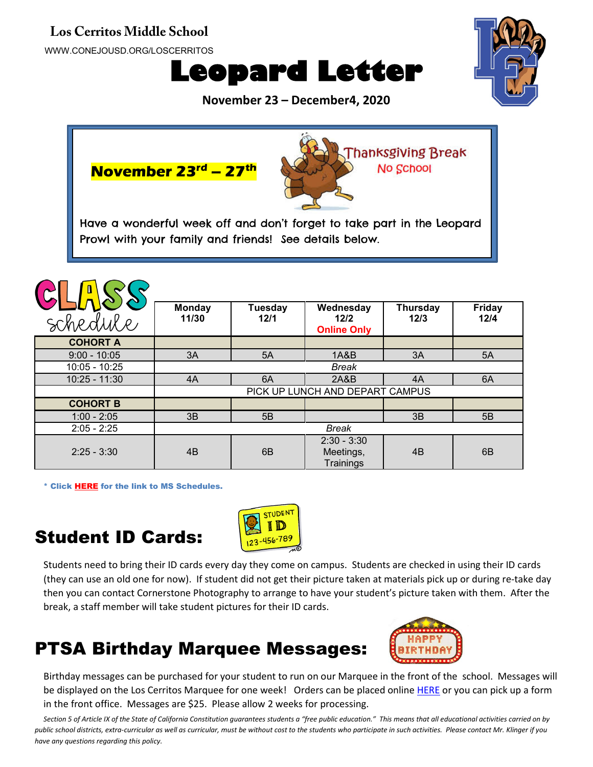#### **Los Cerritos Middle School**

WWW.CONEJOUSD.ORG/LOSCERRITOS





**November 23 – December4, 2020**



\* Click [HERE](https://www.conejousd.org/Portals/41/2020-2021/Middle%20School%20Remote%20Calendar_fnl.pdf?ver=2020-08-25-121556-487) for the link to MS Schedules.

2:25 - 3:30 4B 6B

### Student ID Cards:



Students need to bring their ID cards every day they come on campus. Students are checked in using their ID cards (they can use an old one for now). If student did not get their picture taken at materials pick up or during re-take day then you can contact Cornerstone Photography to arrange to have your student's picture taken with them. After the break, a staff member will take student pictures for their ID cards.

Meetings, **Trainings** 

# PTSA Birthday Marquee Messages:



4B 6B

Birthday messages can be purchased for your student to run on our Marquee in the front of the school. Messages will be displayed on the Los Cerritos Marquee for one week! Orders can be placed online [HERE](https://sites.google.com/view/lcmsptsa/webstore?authuser=0) or you can pick up a form in the front office. Messages are \$25. Please allow 2 weeks for processing.

*Section 5 of Article IX of the State of California Constitution guarantees students a "free public education." This means that all educational activities carried on by public school districts, extra-curricular as well as curricular, must be without cost to the students who participate in such activities. Please contact Mr. Klinger if you have any questions regarding this policy.*